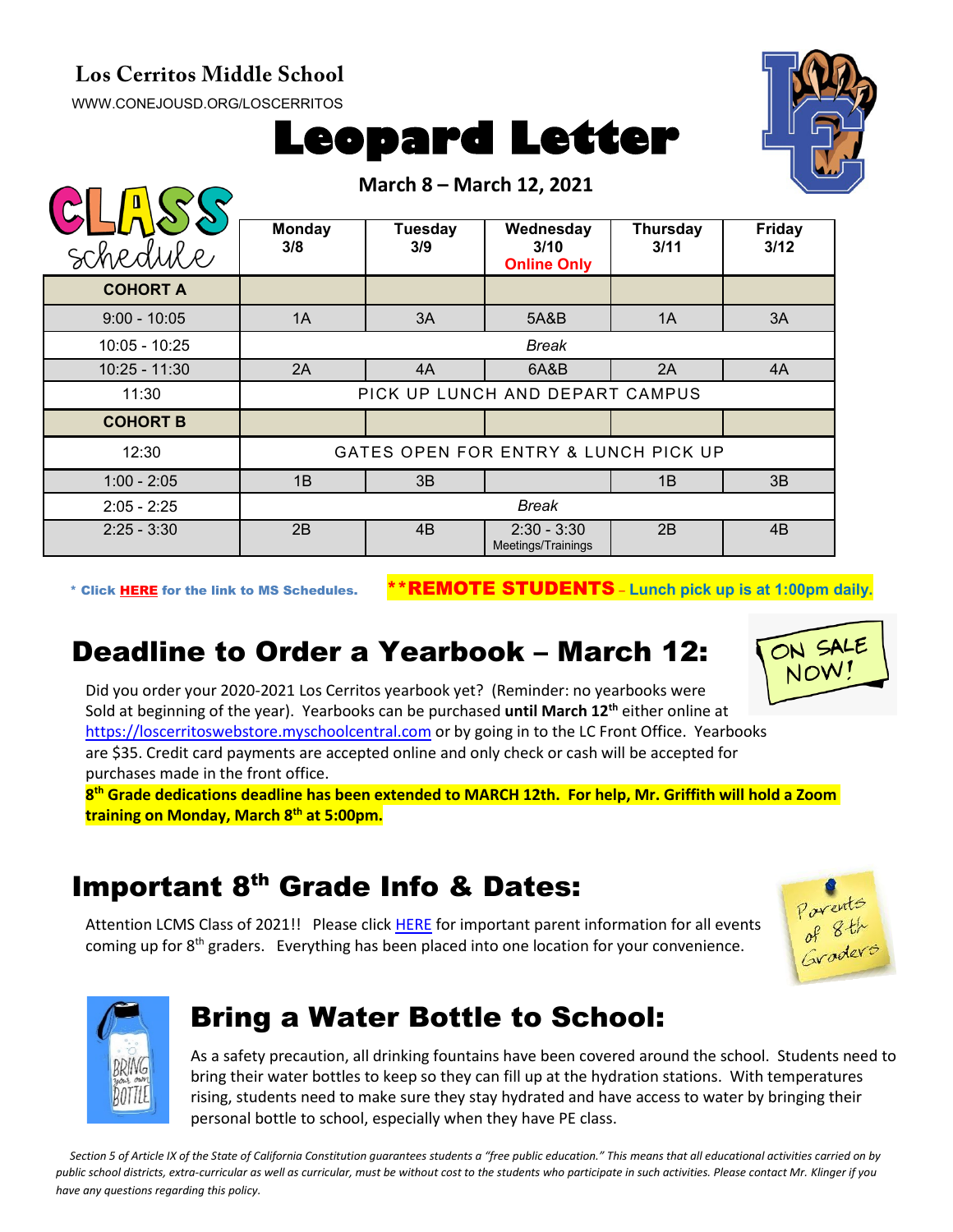#### **Los Cerritos Middle School**

[WWW.CONEJOUSD.ORG/LOSCERRITOS](http://www.conejousd.org/LOSCERRITOS)



**March 8 – March 12, 2021**



| schedule        | <b>Monday</b><br>3/8                 | <b>Tuesday</b><br>3/9 | Wednesday<br>3/10<br><b>Online Only</b> | <b>Thursday</b><br>3/11 | <b>Friday</b><br>3/12 |
|-----------------|--------------------------------------|-----------------------|-----------------------------------------|-------------------------|-----------------------|
| <b>COHORT A</b> |                                      |                       |                                         |                         |                       |
| $9:00 - 10:05$  | 1A                                   | 3A                    | 5A&B                                    | 1A                      | 3A                    |
| $10:05 - 10:25$ | <b>Break</b>                         |                       |                                         |                         |                       |
| $10:25 - 11:30$ | 2A                                   | 4A                    | 6A&B                                    | 2A                      | 4A                    |
| 11:30           | PICK UP LUNCH AND DEPART CAMPUS      |                       |                                         |                         |                       |
| <b>COHORT B</b> |                                      |                       |                                         |                         |                       |
| 12:30           | GATES OPEN FOR ENTRY & LUNCH PICK UP |                       |                                         |                         |                       |
| $1:00 - 2:05$   | 1B                                   | 3B                    |                                         | 1B                      | 3B                    |
| $2:05 - 2:25$   | <b>Break</b>                         |                       |                                         |                         |                       |
| $2:25 - 3:30$   | 2B                                   | 4B                    | $2:30 - 3:30$<br>Meetings/Trainings     | 2B                      | 4B                    |

\* Click [HERE](https://www.conejousd.org/Portals/0/Middle%20School%20Monthly%20Calendar%20_FNLl.pdf?ver=2020-11-04-105638-860) for the link to MS Schedules. \*\*REMOTE STUDENTS – **Lunch pick up is at 1:00pm daily.**

# Deadline to Order a Yearbook – March 12:



Did you order your 2020-2021 Los Cerritos yearbook yet? (Reminder: no yearbooks were Sold at beginning of the year). Yearbooks can be purchased **until March 12th** either online at [https://loscerritoswebstore.myschoolcentral.com](https://loscerritoswebstore.myschoolcentral.com/) or by going in to the LC Front Office. Yearbooks are \$35. Credit card payments are accepted online and only check or cash will be accepted for purchases made in the front office.

**8th Grade dedications deadline has been extended to MARCH 12th. For help, Mr. Griffith will hold a Zoom training on Monday, March 8th at 5:00pm.**

## Important 8<sup>th</sup> Grade Info & Dates:

Attention LCMS Class of 2021!! Please click [HERE](https://docs.google.com/document/d/1KwvAb5A6N3XOrohf4P_tUC-4_U_ICxfPB9oJK0wCns4/edit?usp=sharing) for important parent information for all events coming up for 8<sup>th</sup> graders. Everything has been placed into one location for your convenience.





## Bring a Water Bottle to School:

As a safety precaution, all drinking fountains have been covered around the school. Students need to bring their water bottles to keep so they can fill up at the hydration stations. With temperatures rising, students need to make sure they stay hydrated and have access to water by bringing their personal bottle to school, especially when they have PE class.

*Section 5 of Article IX of the State of California Constitution guarantees students a "free public education." This means that all educational activities carried on by public school districts, extra-curricular as well as curricular, must be without cost to the students who participate in such activities. Please contact Mr. Klinger if you have any questions regarding this policy.*